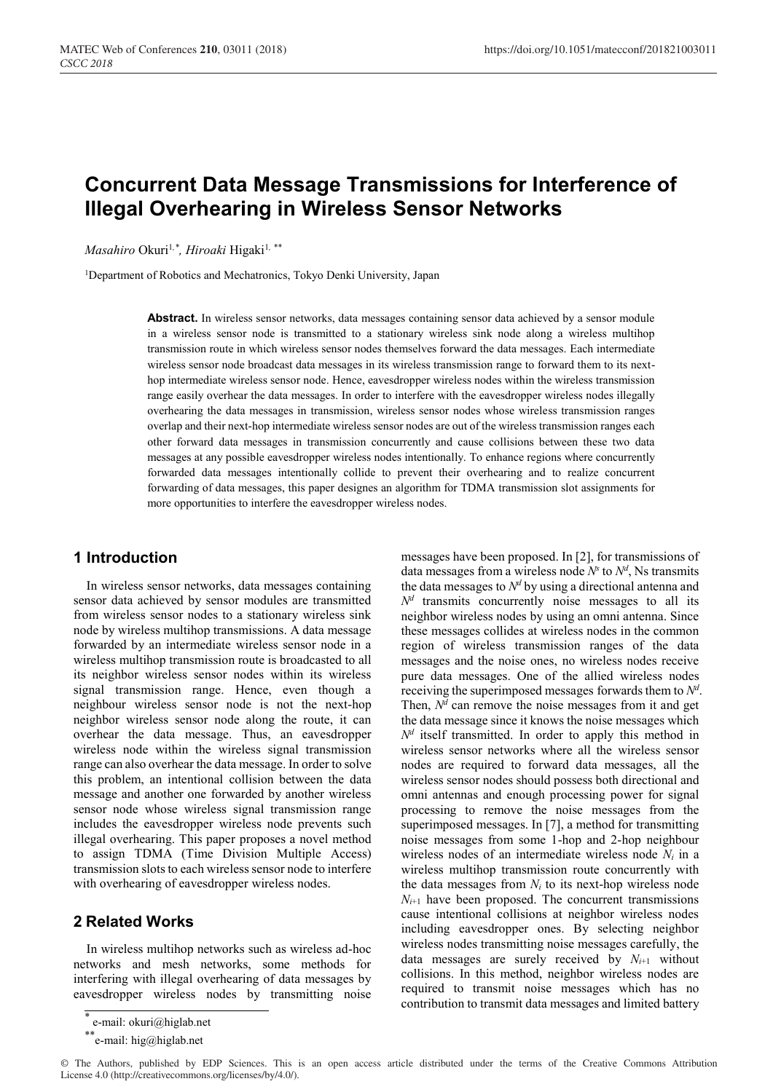# **Concurrent Data Message Transmissions for Interference of Illegal Overhearing in Wireless Sensor Networks**

*Masahiro Okuri<sup>1,\*</sup>, Hiroaki* Higaki<sup>1,\*\*</sup>

<sup>1</sup>Department of Robotics and Mechatronics, Tokyo Denki University, Japan

**Abstract.** In wireless sensor networks, data messages containing sensor data achieved by a sensor module in a wireless sensor node is transmitted to a stationary wireless sink node along a wireless multihop transmission route in which wireless sensor nodes themselves forward the data messages. Each intermediate wireless sensor node broadcast data messages in its wireless transmission range to forward them to its nexthop intermediate wireless sensor node. Hence, eavesdropper wireless nodes within the wireless transmission range easily overhear the data messages. In order to interfere with the eavesdropper wireless nodes illegally overhearing the data messages in transmission, wireless sensor nodes whose wireless transmission ranges overlap and their next-hop intermediate wireless sensor nodes are out of the wireless transmission ranges each other forward data messages in transmission concurrently and cause collisions between these two data messages at any possible eavesdropper wireless nodes intentionally. To enhance regions where concurrently forwarded data messages intentionally collide to prevent their overhearing and to realize concurrent forwarding of data messages, this paper designes an algorithm for TDMA transmission slot assignments for more opportunities to interfere the eavesdropper wireless nodes.

### **1 Introduction**

In wireless sensor networks, data messages containing sensor data achieved by sensor modules are transmitted from wireless sensor nodes to a stationary wireless sink node by wireless multihop transmissions. A data message forwarded by an intermediate wireless sensor node in a wireless multihop transmission route is broadcasted to all its neighbor wireless sensor nodes within its wireless signal transmission range. Hence, even though a neighbour wireless sensor node is not the next-hop neighbor wireless sensor node along the route, it can overhear the data message. Thus, an eavesdropper wireless node within the wireless signal transmission range can also overhear the data message. In order to solve this problem, an intentional collision between the data message and another one forwarded by another wireless sensor node whose wireless signal transmission range includes the eavesdropper wireless node prevents such illegal overhearing. This paper proposes a novel method to assign TDMA (Time Division Multiple Access) transmission slots to each wireless sensor node to interfere with overhearing of eavesdropper wireless nodes.

## **2 Related Works**

In wireless multihop networks such as wireless ad-hoc networks and mesh networks, some methods for interfering with illegal overhearing of data messages by eavesdropper wireless nodes by transmitting noise messages have been proposed. In [2], for transmissions of data messages from a wireless node  $N^s$  to  $N^d$ , Ns transmits the data messages to  $N<sup>d</sup>$  by using a directional antenna and  $N<sup>d</sup>$  transmits concurrently noise messages to all its neighbor wireless nodes by using an omni antenna. Since these messages collides at wireless nodes in the common region of wireless transmission ranges of the data messages and the noise ones, no wireless nodes receive pure data messages. One of the allied wireless nodes receiving the superimposed messages forwards them to *Nd* . Then,  $N^d$  can remove the noise messages from it and get the data message since it knows the noise messages which  $N<sup>d</sup>$  itself transmitted. In order to apply this method in wireless sensor networks where all the wireless sensor nodes are required to forward data messages, all the wireless sensor nodes should possess both directional and omni antennas and enough processing power for signal processing to remove the noise messages from the superimposed messages. In [7], a method for transmitting noise messages from some 1-hop and 2-hop neighbour wireless nodes of an intermediate wireless node *Ni* in a wireless multihop transmission route concurrently with the data messages from  $N_i$  to its next-hop wireless node  $N_{i+1}$  have been proposed. The concurrent transmissions cause intentional collisions at neighbor wireless nodes including eavesdropper ones. By selecting neighbor wireless nodes transmitting noise messages carefully, the data messages are surely received by  $N_{i+1}$  without collisions. In this method, neighbor wireless nodes are required to transmit noise messages which has no contribution to transmit data messages and limited battery

e-mail: okuri@higlab.net

<sup>\*\*</sup>e-mail: hig@higlab.net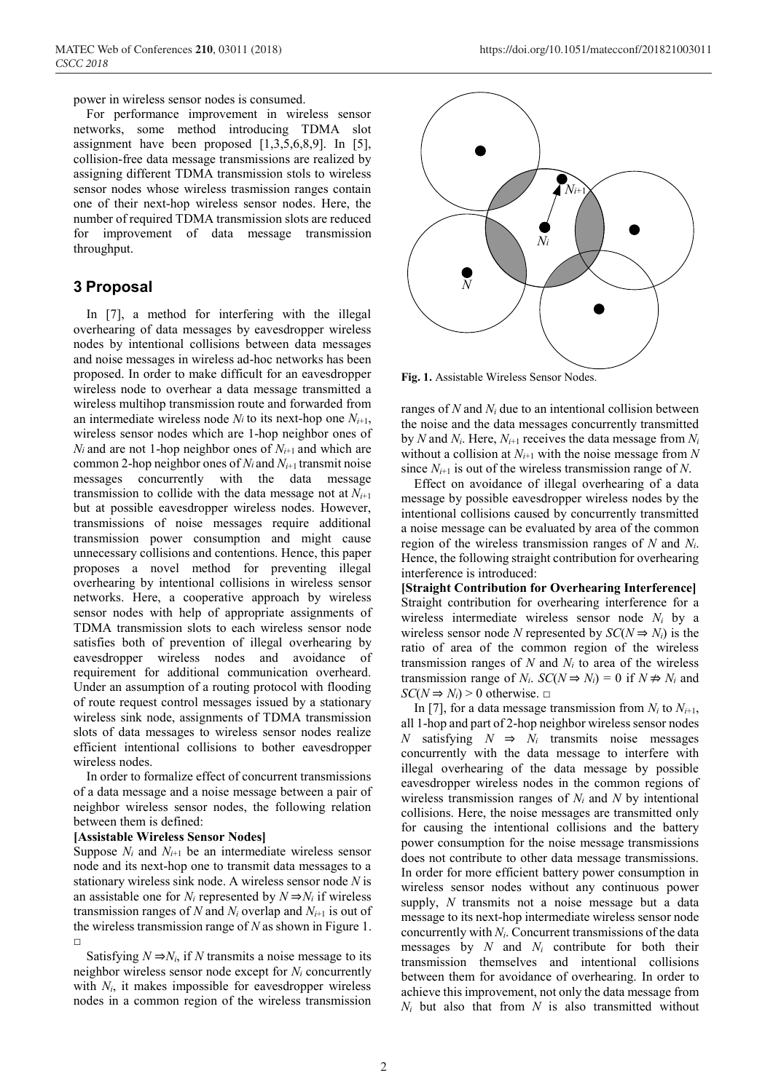power in wireless sensor nodes is consumed.

For performance improvement in wireless sensor networks, some method introducing TDMA slot assignment have been proposed [1,3,5,6,8,9]. In [5], collision-free data message transmissions are realized by assigning different TDMA transmission stols to wireless sensor nodes whose wireless trasmission ranges contain one of their next-hop wireless sensor nodes. Here, the number of required TDMA transmission slots are reduced for improvement of data message transmission throughput.

### **3 Proposal**

In [7], a method for interfering with the illegal overhearing of data messages by eavesdropper wireless nodes by intentional collisions between data messages and noise messages in wireless ad-hoc networks has been proposed. In order to make difficult for an eavesdropper wireless node to overhear a data message transmitted a wireless multihop transmission route and forwarded from an intermediate wireless node  $N_i$  to its next-hop one  $N_{i+1}$ , wireless sensor nodes which are 1-hop neighbor ones of *Ni* and are not 1-hop neighbor ones of  $N_{i+1}$  and which are common 2-hop neighbor ones of *Ni* and *Ni*+1 transmit noise messages concurrently with the data message transmission to collide with the data message not at  $N_{i+1}$ but at possible eavesdropper wireless nodes. However, transmissions of noise messages require additional transmission power consumption and might cause unnecessary collisions and contentions. Hence, this paper proposes a novel method for preventing illegal overhearing by intentional collisions in wireless sensor networks. Here, a cooperative approach by wireless sensor nodes with help of appropriate assignments of TDMA transmission slots to each wireless sensor node satisfies both of prevention of illegal overhearing by eavesdropper wireless nodes and avoidance of requirement for additional communication overheard. Under an assumption of a routing protocol with flooding of route request control messages issued by a stationary wireless sink node, assignments of TDMA transmission slots of data messages to wireless sensor nodes realize efficient intentional collisions to bother eavesdropper wireless nodes.

In order to formalize effect of concurrent transmissions of a data message and a noise message between a pair of neighbor wireless sensor nodes, the following relation between them is defined:

#### **[Assistable Wireless Sensor Nodes]**

Suppose  $N_i$  and  $N_{i+1}$  be an intermediate wireless sensor node and its next-hop one to transmit data messages to a stationary wireless sink node. A wireless sensor node *N* is an assistable one for  $N_i$  represented by  $N \Rightarrow N_i$  if wireless transmission ranges of *N* and  $N_i$  overlap and  $N_{i+1}$  is out of the wireless transmission range of *N* as shown in Figure 1. □

Satisfying  $N \Rightarrow N_i$ , if *N* transmits a noise message to its neighbor wireless sensor node except for *Ni* concurrently with  $N_i$ , it makes impossible for eavesdropper wireless nodes in a common region of the wireless transmission



**Fig. 1.** Assistable Wireless Sensor Nodes.

ranges of  $N$  and  $N_i$  due to an intentional collision between the noise and the data messages concurrently transmitted by *N* and  $N_i$ . Here,  $N_{i+1}$  receives the data message from  $N_i$ without a collision at  $N_{i+1}$  with the noise message from N since  $N_{i+1}$  is out of the wireless transmission range of N.

Effect on avoidance of illegal overhearing of a data message by possible eavesdropper wireless nodes by the intentional collisions caused by concurrently transmitted a noise message can be evaluated by area of the common region of the wireless transmission ranges of *N* and *Ni*. Hence, the following straight contribution for overhearing interference is introduced:

**[Straight Contribution for Overhearing Interference]** Straight contribution for overhearing interference for a wireless intermediate wireless sensor node *Ni* by a wireless sensor node *N* represented by  $SC(N \Rightarrow N_i)$  is the ratio of area of the common region of the wireless transmission ranges of *N* and *Ni* to area of the wireless transmission range of  $N_i$ .  $SC(N \Rightarrow N_i) = 0$  if  $N \not\Rightarrow N_i$  and  $SC(N \Rightarrow N_i) > 0$  otherwise.  $\square$ 

In [7], for a data message transmission from  $N_i$  to  $N_{i+1}$ , all 1-hop and part of 2-hop neighbor wireless sensor nodes *N* satisfying  $N \Rightarrow N_i$  transmits noise messages concurrently with the data message to interfere with illegal overhearing of the data message by possible eavesdropper wireless nodes in the common regions of wireless transmission ranges of *Ni* and *N* by intentional collisions. Here, the noise messages are transmitted only for causing the intentional collisions and the battery power consumption for the noise message transmissions does not contribute to other data message transmissions. In order for more efficient battery power consumption in wireless sensor nodes without any continuous power supply, *N* transmits not a noise message but a data message to its next-hop intermediate wireless sensor node concurrently with *Ni*. Concurrent transmissions of the data messages by *N* and *Ni* contribute for both their transmission themselves and intentional collisions between them for avoidance of overhearing. In order to achieve this improvement, not only the data message from *Ni* but also that from *N* is also transmitted without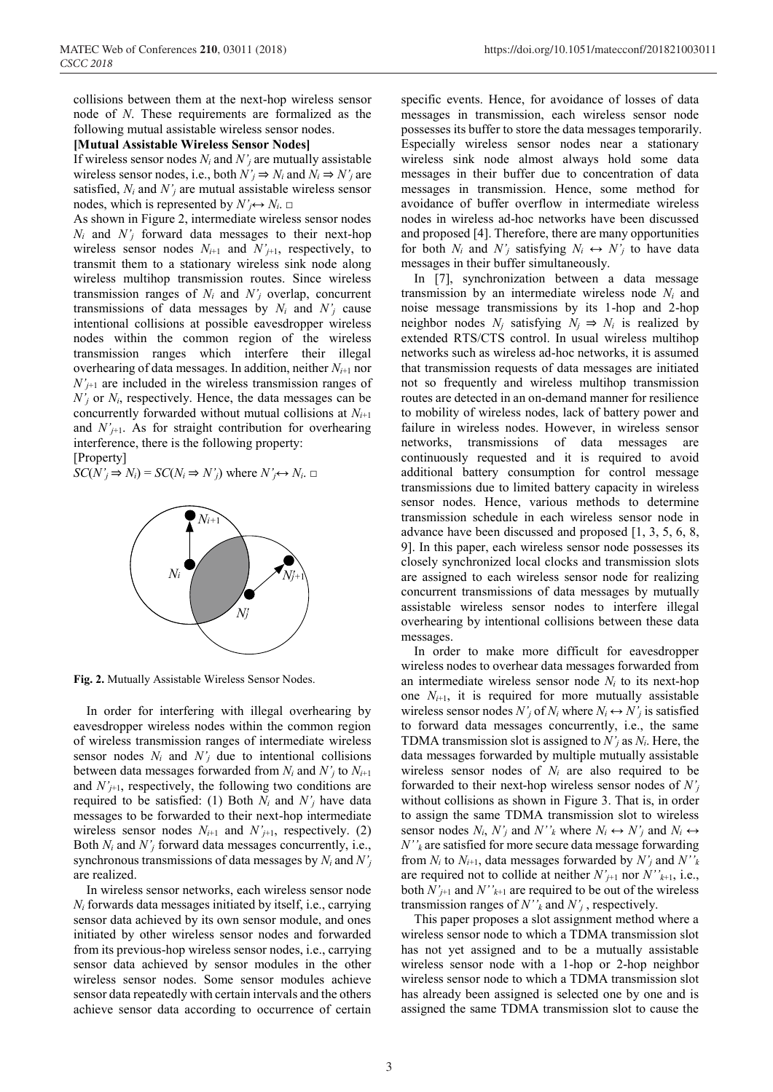collisions between them at the next-hop wireless sensor node of *N*. These requirements are formalized as the following mutual assistable wireless sensor nodes.

#### **[Mutual Assistable Wireless Sensor Nodes]**

If wireless sensor nodes *Ni* and *N'j* are mutually assistable wireless sensor nodes, i.e., both  $N'_i \Rightarrow N_i$  and  $N_i \Rightarrow N'_i$  are satisfied,  $N_i$  and  $N'_j$  are mutual assistable wireless sensor nodes, which is represented by  $N'_{i} \leftrightarrow N_{i}$ .  $\Box$ 

As shown in Figure 2, intermediate wireless sensor nodes *Ni* and *N'j* forward data messages to their next-hop wireless sensor nodes  $N_{i+1}$  and  $N'_{j+1}$ , respectively, to transmit them to a stationary wireless sink node along wireless multihop transmission routes. Since wireless transmission ranges of  $N_i$  and  $N'_j$  overlap, concurrent transmissions of data messages by *Ni* and *N'j* cause intentional collisions at possible eavesdropper wireless nodes within the common region of the wireless transmission ranges which interfere their illegal overhearing of data messages. In addition, neither *Ni*+1 nor  $N'_{j+1}$  are included in the wireless transmission ranges of  $N'_{j}$  or  $N_{i}$ , respectively. Hence, the data messages can be concurrently forwarded without mutual collisions at *Ni*+1 and  $N'_{j+1}$ . As for straight contribution for overhearing interference, there is the following property:

[Property]

 $SC(N'_j \Rightarrow N_i) = SC(N_i \Rightarrow N'_j)$  where  $N'_j \leftrightarrow N_i$ . □



**Fig. 2.** Mutually Assistable Wireless Sensor Nodes.

In order for interfering with illegal overhearing by eavesdropper wireless nodes within the common region of wireless transmission ranges of intermediate wireless sensor nodes  $N_i$  and  $N'_j$  due to intentional collisions between data messages forwarded from  $N_i$  and  $N'_i$  to  $N_{i+1}$ and  $N'_{j+1}$ , respectively, the following two conditions are required to be satisfied: (1) Both  $N_i$  and  $N'_j$  have data messages to be forwarded to their next-hop intermediate wireless sensor nodes  $N_{i+1}$  and  $N'_{i+1}$ , respectively. (2) Both *Ni* and *N'j* forward data messages concurrently, i.e., synchronous transmissions of data messages by *Ni* and *N'j* are realized.

In wireless sensor networks, each wireless sensor node *Ni* forwards data messages initiated by itself, i.e., carrying sensor data achieved by its own sensor module, and ones initiated by other wireless sensor nodes and forwarded from its previous-hop wireless sensor nodes, i.e., carrying sensor data achieved by sensor modules in the other wireless sensor nodes. Some sensor modules achieve sensor data repeatedly with certain intervals and the others achieve sensor data according to occurrence of certain specific events. Hence, for avoidance of losses of data messages in transmission, each wireless sensor node possesses its buffer to store the data messages temporarily. Especially wireless sensor nodes near a stationary wireless sink node almost always hold some data messages in their buffer due to concentration of data messages in transmission. Hence, some method for avoidance of buffer overflow in intermediate wireless nodes in wireless ad-hoc networks have been discussed and proposed [4]. Therefore, there are many opportunities for both  $N_i$  and  $N'_j$  satisfying  $N_i \leftrightarrow N'_j$  to have data messages in their buffer simultaneously.

In [7], synchronization between a data message transmission by an intermediate wireless node *Ni* and noise message transmissions by its 1-hop and 2-hop neighbor nodes  $N_i$  satisfying  $N_i \Rightarrow N_i$  is realized by extended RTS/CTS control. In usual wireless multihop networks such as wireless ad-hoc networks, it is assumed that transmission requests of data messages are initiated not so frequently and wireless multihop transmission routes are detected in an on-demand manner for resilience to mobility of wireless nodes, lack of battery power and failure in wireless nodes. However, in wireless sensor networks, transmissions of data messages are continuously requested and it is required to avoid additional battery consumption for control message transmissions due to limited battery capacity in wireless sensor nodes. Hence, various methods to determine transmission schedule in each wireless sensor node in advance have been discussed and proposed [1, 3, 5, 6, 8, 9]. In this paper, each wireless sensor node possesses its closely synchronized local clocks and transmission slots are assigned to each wireless sensor node for realizing concurrent transmissions of data messages by mutually assistable wireless sensor nodes to interfere illegal overhearing by intentional collisions between these data messages.

In order to make more difficult for eavesdropper wireless nodes to overhear data messages forwarded from an intermediate wireless sensor node *Ni* to its next-hop one  $N_{i+1}$ , it is required for more mutually assistable wireless sensor nodes  $N'_{j}$  of  $N_{i}$  where  $N_{i} \leftrightarrow N'_{j}$  is satisfied to forward data messages concurrently, i.e., the same TDMA transmission slot is assigned to *N'j* as *Ni*. Here, the data messages forwarded by multiple mutually assistable wireless sensor nodes of *Ni* are also required to be forwarded to their next-hop wireless sensor nodes of *N'j* without collisions as shown in Figure 3. That is, in order to assign the same TDMA transmission slot to wireless sensor nodes  $N_i$ ,  $N'_i$  and  $N''_k$  where  $N_i \leftrightarrow N'_i$  and  $N_i \leftrightarrow$ *N''k* are satisfied for more secure data message forwarding from  $N_i$  to  $N_{i+1}$ , data messages forwarded by  $N'_i$  and  $N''_k$ are required not to collide at neither  $N'_{i+1}$  nor  $N''_{k+1}$ , i.e., both  $N'_{j+1}$  and  $N''_{k+1}$  are required to be out of the wireless transmission ranges of *N''k* and *N'j* , respectively.

This paper proposes a slot assignment method where a wireless sensor node to which a TDMA transmission slot has not yet assigned and to be a mutually assistable wireless sensor node with a 1-hop or 2-hop neighbor wireless sensor node to which a TDMA transmission slot has already been assigned is selected one by one and is assigned the same TDMA transmission slot to cause the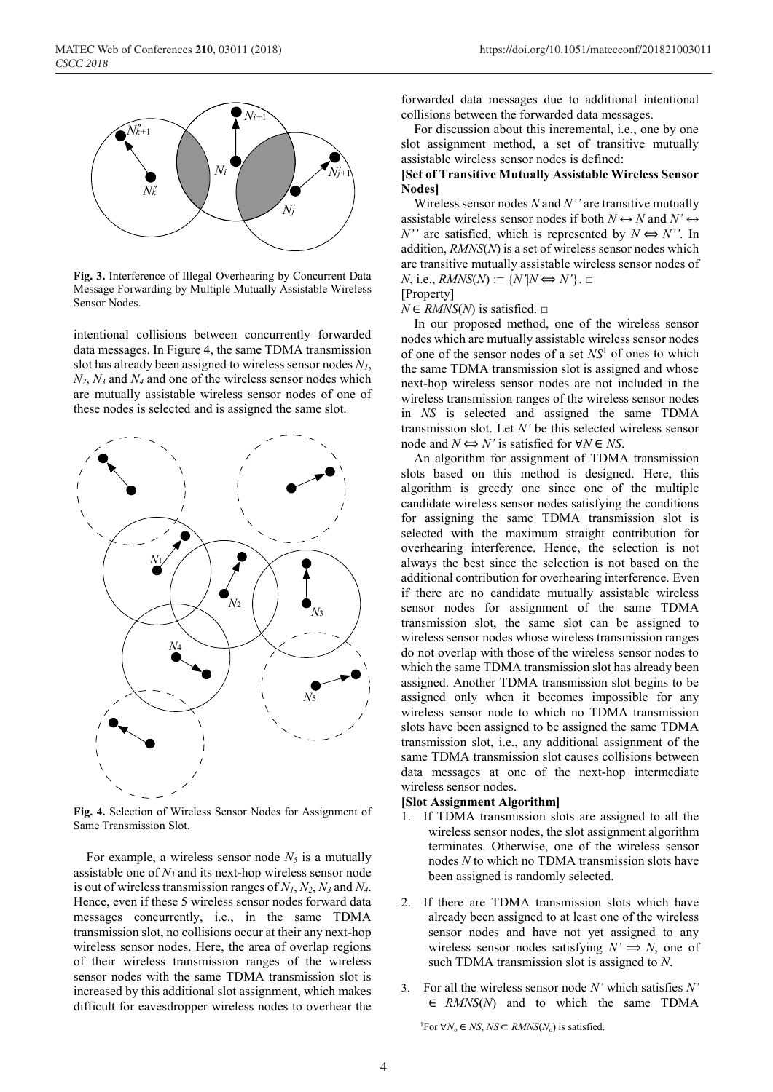

**Fig. 3.** Interference of Illegal Overhearing by Concurrent Data Message Forwarding by Multiple Mutually Assistable Wireless Sensor Nodes.

intentional collisions between concurrently forwarded data messages. In Figure 4, the same TDMA transmission slot has already been assigned to wireless sensor nodes *N1*,  $N_2$ ,  $N_3$  and  $N_4$  and one of the wireless sensor nodes which are mutually assistable wireless sensor nodes of one of these nodes is selected and is assigned the same slot.



**Fig. 4.** Selection of Wireless Sensor Nodes for Assignment of Same Transmission Slot.

For example, a wireless sensor node  $N_5$  is a mutually assistable one of  $N_3$  and its next-hop wireless sensor node is out of wireless transmission ranges of *N1*, *N2*, *N3* and *N4*. Hence, even if these 5 wireless sensor nodes forward data messages concurrently, i.e., in the same TDMA transmission slot, no collisions occur at their any next-hop wireless sensor nodes. Here, the area of overlap regions of their wireless transmission ranges of the wireless sensor nodes with the same TDMA transmission slot is increased by this additional slot assignment, which makes difficult for eavesdropper wireless nodes to overhear the

forwarded data messages due to additional intentional collisions between the forwarded data messages.

For discussion about this incremental, i.e., one by one slot assignment method, a set of transitive mutually assistable wireless sensor nodes is defined:

#### **[Set of Transitive Mutually Assistable Wireless Sensor Nodes]**

Wireless sensor nodes *N* and *N''* are transitive mutually assistable wireless sensor nodes if both  $N \leftrightarrow N$  and  $N' \leftrightarrow$ *N''* are satisfied, which is represented by  $N \Leftrightarrow N'$ . In addition, *RMNS*(*N*) is a set of wireless sensor nodes which are transitive mutually assistable wireless sensor nodes of  $N$ , i.e.,  $RMNS(N) := \{N'|N \Longleftrightarrow N'\}$ . □

[Property]  $N \in RMNS(N)$  is satisfied. □

In our proposed method, one of the wireless sensor nodes which are mutually assistable wireless sensor nodes of one of the sensor nodes of a set *NS*<sup>1</sup> of ones to which the same TDMA transmission slot is assigned and whose next-hop wireless sensor nodes are not included in the wireless transmission ranges of the wireless sensor nodes in *NS* is selected and assigned the same TDMA transmission slot. Let *N'* be this selected wireless sensor node and  $N \Leftrightarrow N'$  is satisfied for  $\forall N \in NS$ .

An algorithm for assignment of TDMA transmission slots based on this method is designed. Here, this algorithm is greedy one since one of the multiple candidate wireless sensor nodes satisfying the conditions for assigning the same TDMA transmission slot is selected with the maximum straight contribution for overhearing interference. Hence, the selection is not always the best since the selection is not based on the additional contribution for overhearing interference. Even if there are no candidate mutually assistable wireless sensor nodes for assignment of the same TDMA transmission slot, the same slot can be assigned to wireless sensor nodes whose wireless transmission ranges do not overlap with those of the wireless sensor nodes to which the same TDMA transmission slot has already been assigned. Another TDMA transmission slot begins to be assigned only when it becomes impossible for any wireless sensor node to which no TDMA transmission slots have been assigned to be assigned the same TDMA transmission slot, i.e., any additional assignment of the same TDMA transmission slot causes collisions between data messages at one of the next-hop intermediate wireless sensor nodes.

#### **[Slot Assignment Algorithm]**

- 1. If TDMA transmission slots are assigned to all the wireless sensor nodes, the slot assignment algorithm terminates. Otherwise, one of the wireless sensor nodes *N* to which no TDMA transmission slots have been assigned is randomly selected.
- 2. If there are TDMA transmission slots which have already been assigned to at least one of the wireless sensor nodes and have not yet assigned to any wireless sensor nodes satisfying  $N' \implies N$ , one of such TDMA transmission slot is assigned to *N*.
- 3. For all the wireless sensor node *N'* which satisfies *N'* ∈ *RMNS*(*N*) and to which the same TDMA

<sup>1</sup>For ∀*N*<sup>o</sup> ∈ *NS*, *NS* ⊂ *RMNS*(*N*<sup>o</sup>) is satisfied.